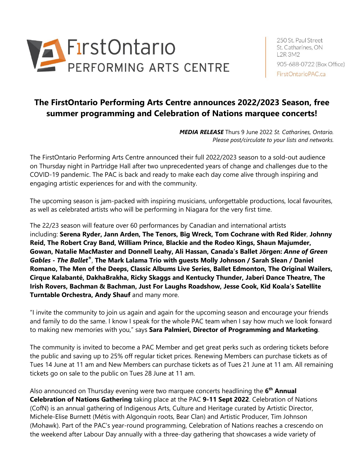

250 St. Paul Street St. Catharines, ON L2R 3M2 905-688-0722 (Box Office) FirstOntarioPAC.ca

# **The FirstOntario Performing Arts Centre announces 2022/2023 Season, free summer programming and Celebration of Nations marquee concerts!**

*MEDIA RELEASE* Thurs 9 June 2022 *St. Catharines, Ontario. Please post/circulate to your lists and networks.*

The FirstOntario Performing Arts Centre announced their full 2022/2023 season to a sold-out audience on Thursday night in Partridge Hall after two unprecedented years of change and challenges due to the COVID-19 pandemic. The PAC is back and ready to make each day come alive through inspiring and engaging artistic experiences for and with the community.

The upcoming season is jam-packed with inspiring musicians, unforgettable productions, local favourites, as well as celebrated artists who will be performing in Niagara for the very first time.

The 22/23 season will feature over 60 performances by Canadian and international artists including: **Serena Ryder, Jann Arden, The Tenors, Big Wreck, Tom Cochrane with Red Rider**, **Johnny Reid, The Robert Cray Band, William Prince, Blackie and the Rodeo Kings, Shaun Majumder, Gowan, Natalie MacMaster and Donnell Leahy, Ali Hassan, Canada's Ballet Jörgen:** *Anne of Green Gables - The Ballet®*, **The Mark Lalama Trio with guests Molly Johnson / Sarah Slean / Daniel Romano, The Men of the Deeps, Classic Albums Live Series, Ballet Edmonton, The Original Wailers, Cirque Kalabanté, DakhaBrakha, Ricky Skaggs and Kentucky Thunder, Jaberi Dance Theatre, The Irish Rovers, Bachman & Bachman, Just For Laughs Roadshow, Jesse Cook, Kid Koala's Satellite Turntable Orchestra, Andy Shauf** and many more.

"I invite the community to join us again and again for the upcoming season and encourage your friends and family to do the same. I know I speak for the whole PAC team when I say how much we look forward to making new memories with you," says **Sara Palmieri, Director of Programming and Marketing**.

The community is invited to become a PAC Member and get great perks such as ordering tickets before the public and saving up to 25% off regular ticket prices. Renewing Members can purchase tickets as of Tues 14 June at 11 am and New Members can purchase tickets as of Tues 21 June at 11 am. All remaining tickets go on sale to the public on Tues 28 June at 11 am.

Also announced on Thursday evening were two marquee concerts headlining the 6<sup>th</sup> Annual **Celebration of Nations Gathering** taking place at the PAC **9-11 Sept 2022**. Celebration of Nations (CofN) is an annual gathering of Indigenous Arts, Culture and Heritage curated by Artistic Director, Michele-Elise Burnett (Métis with Algonquin roots, Bear Clan) and Artistic Producer, Tim Johnson (Mohawk). Part of the PAC's year-round programming, Celebration of Nations reaches a crescendo on the weekend after Labour Day annually with a three-day gathering that showcases a wide variety of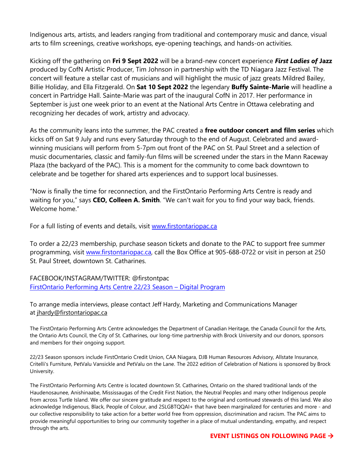Indigenous arts, artists, and leaders ranging from traditional and contemporary music and dance, visual arts to film screenings, creative workshops, eye-opening teachings, and hands-on activities.

Kicking off the gathering on **Fri 9 Sept 2022** will be a brand-new concert experience *First Ladies of* **Jazz**  produced by CofN Artistic Producer, Tim Johnson in partnership with the TD Niagara Jazz Festival. The concert will feature a stellar cast of musicians and will highlight the music of jazz greats Mildred Bailey, Billie Holiday, and Ella Fitzgerald. On **Sat 10 Sept 2022** the legendary **Buffy Sainte-Marie** will headline a concert in Partridge Hall. Sainte-Marie was part of the inaugural CofN in 2017. Her performance in September is just one week prior to an event at the National Arts Centre in Ottawa celebrating and recognizing her decades of work, artistry and advocacy.

As the community leans into the summer, the PAC created a **free outdoor concert and film series** which kicks off on Sat 9 July and runs every Saturday through to the end of August. Celebrated and awardwinning musicians will perform from 5-7pm out front of the PAC on St. Paul Street and a selection of music documentaries, classic and family-fun films will be screened under the stars in the Mann Raceway Plaza (the backyard of the PAC). This is a moment for the community to come back downtown to celebrate and be together for shared arts experiences and to support local businesses.

"Now is finally the time for reconnection, and the FirstOntario Performing Arts Centre is ready and waiting for you," says **CEO, Colleen A. Smith**. "We can't wait for you to find your way back, friends. Welcome home."

For a full listing of events and details, visit [www.firstontariopac.ca](http://www.firstontariopac.ca/)

To order a 22/23 membership, purchase season tickets and donate to the PAC to support free summer programming, visit [www.firstontariopac.ca,](http://www.firstontariopac.ca/) call the Box Office at 905-688-0722 or visit in person at 250 St. Paul Street, downtown St. Catharines.

FACEBOOK/INSTAGRAM/TWITTER: @firstontpac [FirstOntario Performing Arts Centre 22/23 Season](https://issuu.com/firstontpac/docs/jrh-22-23-program-may11) – Digital Program

To arrange media interviews, please contact Jeff Hardy, Marketing and Communications Manager at [jhardy@firstontariopac.ca](mailto:jhardy@firstontariopac.ca?subject=Email%20Inquiry)

The FirstOntario Performing Arts Centre acknowledges the Department of Canadian Heritage, the Canada Council for the Arts, the Ontario Arts Council, the City of St. Catharines, our long-time partnership with Brock University and our donors, sponsors and members for their ongoing support.

22/23 Season sponsors include FirstOntario Credit Union, CAA Niagara, DJB Human Resources Advisory, Allstate Insurance, Critelli's Furniture, PetValu Vansickle and PetValu on the Lane. The 2022 edition of Celebration of Nations is sponsored by Brock University.

The FirstOntario Performing Arts Centre is located downtown St. Catharines, Ontario on the shared traditional lands of the Haudenosaunee, Anishinaabe, Mississaugas of the Credit First Nation, the Neutral Peoples and many other Indigenous people from across Turtle Island. We offer our sincere gratitude and respect to the original and continued stewards of this land. We also acknowledge Indigenous, Black, People of Colour, and 2SLGBTQQAI+ that have been marginalized for centuries and more - and our collective responsibility to take action for a better world free from oppression, discrimination and racism. The PAC aims to provide meaningful opportunities to bring our community together in a place of mutual understanding, empathy, and respect through the arts.

#### **EVENT LISTINGS ON FOLLOWING PAGE** →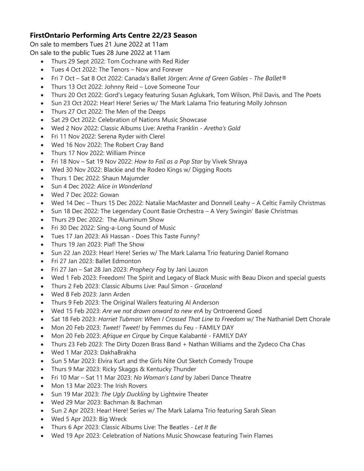## **FirstOntario Performing Arts Centre 22/23 Season**

On sale to members Tues 21 June 2022 at 11am On sale to the public Tues 28 June 2022 at 11am

- Thurs 29 Sept 2022: Tom Cochrane with Red Rider
- Tues 4 Oct 2022: The Tenors Now and Forever
- Fri 7 Oct Sat 8 Oct 2022: Canada's Ballet Jörgen: *Anne of Green Gables - The Ballet®*
- Thurs 13 Oct 2022: Johnny Reid Love Someone Tour
- Thurs 20 Oct 2022: Gord's Legacy featuring Susan Aglukark, Tom Wilson, Phil Davis, and The Poets
- Sun 23 Oct 2022: Hear! Here! Series w/ The Mark Lalama Trio featuring Molly Johnson
- Thurs 27 Oct 2022: The Men of the Deeps
- Sat 29 Oct 2022: Celebration of Nations Music Showcase
- Wed 2 Nov 2022: Classic Albums Live: Aretha Franklin *Aretha's Gold*
- Fri 11 Nov 2022: Serena Ryder with Clerel
- Wed 16 Nov 2022: The Robert Cray Band
- Thurs 17 Nov 2022: William Prince
- Fri 18 Nov Sat 19 Nov 2022: *How to Fail as a Pop Star* by Vivek Shraya
- Wed 30 Nov 2022: Blackie and the Rodeo Kings w/ Digging Roots
- Thurs 1 Dec 2022: Shaun Majumder
- Sun 4 Dec 2022: *Alice in Wonderland*
- Wed 7 Dec 2022: Gowan
- Wed 14 Dec Thurs 15 Dec 2022: Natalie MacMaster and Donnell Leahy A Celtic Family Christmas
- Sun 18 Dec 2022: The Legendary Count Basie Orchestra A Very Swingin' Basie Christmas
- Thurs 29 Dec 2022: The Aluminum Show
- Fri 30 Dec 2022: Sing-a-Long Sound of Music
- Tues 17 Jan 2023: Ali Hassan Does This Taste Funny?
- Thurs 19 Jan 2023: Piaf! The Show
- Sun 22 Jan 2023: Hear! Here! Series w/ The Mark Lalama Trio featuring Daniel Romano
- Fri 27 Jan 2023: Ballet Edmonton
- Fri 27 Jan Sat 28 Jan 2023: *Prophecy Fog* by Jani Lauzon
- Wed 1 Feb 2023: Freedom! The Spirit and Legacy of Black Music with Beau Dixon and special guests
- Thurs 2 Feb 2023: Classic Albums Live: Paul Simon *Graceland*
- Wed 8 Feb 2023: Jann Arden
- Thurs 9 Feb 2023: The Original Wailers featuring Al Anderson
- Wed 15 Feb 2023: *Are we not drawn onward to new erA* by Ontroerend Goed
- Sat 18 Feb 2023: *Harriet Tubman: When I Crossed That Line to Freedom* w/ The Nathaniel Dett Chorale
- Mon 20 Feb 2023: *Tweet! Tweet!* by Femmes du Feu FAMILY DAY
- Mon 20 Feb 2023: *Afrique en Cirque* by Cirque Kalabanté FAMILY DAY
- Thurs 23 Feb 2023: The Dirty Dozen Brass Band + Nathan Williams and the Zydeco Cha Chas
- Wed 1 Mar 2023: DakhaBrakha
- Sun 5 Mar 2023: Elvira Kurt and the Girls Nite Out Sketch Comedy Troupe
- Thurs 9 Mar 2023: Ricky Skaggs & Kentucky Thunder
- Fri 10 Mar Sat 11 Mar 2023: *No Woman's Land* by Jaberi Dance Theatre
- Mon 13 Mar 2023: The Irish Rovers
- Sun 19 Mar 2023: *The Ugly Duckling* by Lightwire Theater
- Wed 29 Mar 2023: Bachman & Bachman
- Sun 2 Apr 2023: Hear! Here! Series w/ The Mark Lalama Trio featuring Sarah Slean
- Wed 5 Apr 2023: Big Wreck
- Thurs 6 Apr 2023: Classic Albums Live: The Beatles *Let It Be*
- Wed 19 Apr 2023: Celebration of Nations Music Showcase featuring Twin Flames